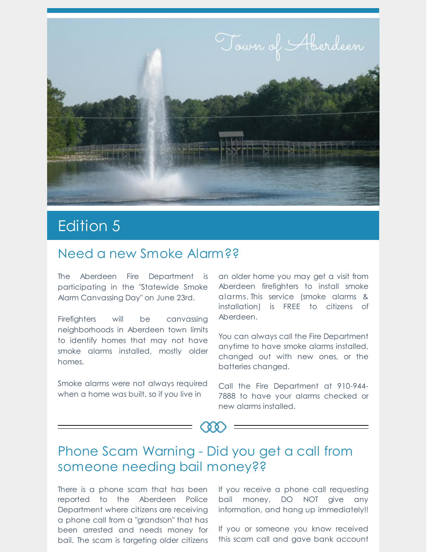

# Edition 5

#### Need a new Smoke Alarm??

The Aberdeen Fire Department is participating in the "Statewide Smoke Alarm Canvassing Day" on June 23rd.

Firefighters will be canvassing neighborhoods in Aberdeen town limits to identify homes that may not have smoke alarms installed, mostly older homes.

Smoke alarms were not always required when a home was built, so if you live in

an older home you may get a visit from Aberdeen firefighters to install smoke alarms. This service (smoke alarms & installation) is FREE to citizens of Aberdeen.

You can always call the Fire Department anytime to have smoke alarms installed, changed out with new ones, or the batteries changed.

Call the Fire Department at 910-944- 7888 to have your alarms checked or new alarms installed.

### Phone Scam Warning - Did you get a call from someone needing bail money??

There is a phone scam that has been reported to the Aberdeen Police Department where citizens are receiving a phone call from a "grandson" that has been arrested and needs money for bail. The scam is targeting older citizens

If you receive a phone call requesting bail money, DO NOT give any information, and hang up immediately!!

If you or someone you know received this scam call and gave bank account